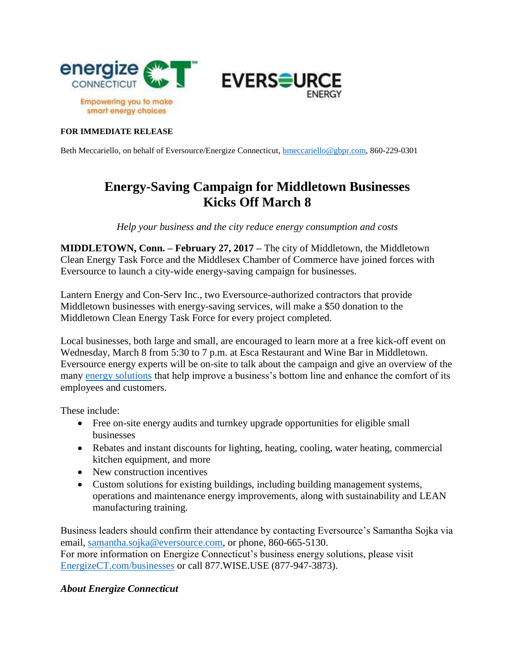

## **FOR IMMEDIATE RELEASE**

Beth Meccariello, on behalf of Eversource/Energize Connecticut, [bmeccariello@gbpr.com,](mailto:bmeccariello@gbpr.com) 860-229-0301

## **Energy-Saving Campaign for Middletown Businesses Kicks Off March 8**

*Help your business and the city reduce energy consumption and costs*

**MIDDLETOWN, Conn. – February 27, 2017 –** The city of Middletown, the Middletown Clean Energy Task Force and the Middlesex Chamber of Commerce have joined forces with Eversource to launch a city-wide energy-saving campaign for businesses.

Lantern Energy and Con-Serv Inc., two Eversource-authorized contractors that provide Middletown businesses with energy-saving services, will make a \$50 donation to the Middletown Clean Energy Task Force for every project completed.

Local businesses, both large and small, are encouraged to learn more at a free kick-off event on Wednesday, March 8 from 5:30 to 7 p.m. at Esca Restaurant and Wine Bar in Middletown. Eversource energy experts will be on-site to talk about the campaign and give an overview of the many [energy solutions](http://www.energizect.com/your-business) that help improve a business's bottom line and enhance the comfort of its employees and customers.

These include:

- Free on-site energy audits and turnkey upgrade opportunities for eligible small businesses
- Rebates and instant discounts for lighting, heating, cooling, water heating, commercial kitchen equipment, and more
- New construction incentives
- Custom solutions for existing buildings, including building management systems, operations and maintenance energy improvements, along with sustainability and LEAN manufacturing training.

Business leaders should confirm their attendance by contacting Eversource's Samantha Sojka via email, [samantha.sojka@eversource.com,](mailto:samantha.sojka@eversource.com) or phone, 860-665-5130. For more information on Energize Connecticut's business energy solutions, please visit [EnergizeCT.com/businesses](http://www.energizect.com/businesses) or call 877.WISE.USE (877-947-3873).

## *About Energize Connecticut*